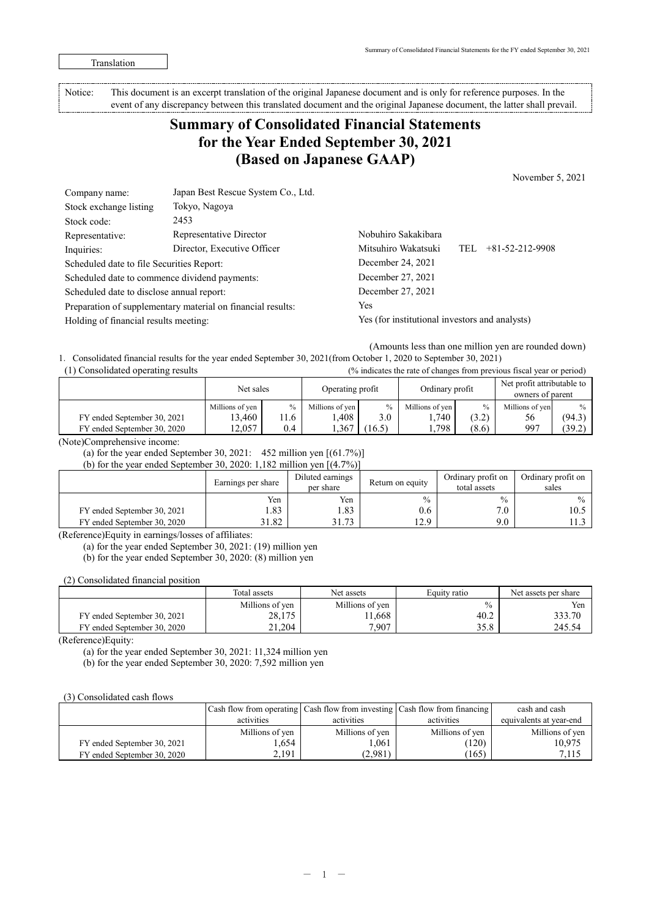Translation

Notice: This document is an excerpt translation of the original Japanese document and is only for reference purposes. In the event of any discrepancy between this translated document and the original Japanese document, the latter shall prevail.

# **Summary of Consolidated Financial Statements for the Year Ended September 30, 2021 (Based on Japanese GAAP)**

November 5, 2021

| Company name:                                               | Japan Best Rescue System Co., Ltd. |                                                |                                |  |  |  |
|-------------------------------------------------------------|------------------------------------|------------------------------------------------|--------------------------------|--|--|--|
| Stock exchange listing                                      | Tokyo, Nagoya                      |                                                |                                |  |  |  |
| Stock code:                                                 | 2453                               |                                                |                                |  |  |  |
| Representative:                                             | Representative Director            | Nobuhiro Sakakibara                            |                                |  |  |  |
| Inquiries:                                                  | Director, Executive Officer        | Mitsuhiro Wakatsuki                            | $+81 - 52 - 212 - 9908$<br>TEL |  |  |  |
| Scheduled date to file Securities Report:                   |                                    | December 24, 2021                              |                                |  |  |  |
| Scheduled date to commence dividend payments:               |                                    | December 27, 2021                              |                                |  |  |  |
| Scheduled date to disclose annual report:                   |                                    | December 27, 2021                              |                                |  |  |  |
| Preparation of supplementary material on financial results: |                                    | Yes                                            |                                |  |  |  |
| Holding of financial results meeting:                       |                                    | Yes (for institutional investors and analysts) |                                |  |  |  |

(Amounts less than one million yen are rounded down)

1.Consolidated financial results for the year ended September 30, 2021(from October 1, 2020 to September 30, 2021) (1) Consolidated operating results (% indicates the rate of changes from previous fiscal year or period)

|                             | Net sales       |      | Operating profit |        | Ordinary profit   |               | Net profit attributable to<br>owners of parent |               |
|-----------------------------|-----------------|------|------------------|--------|-------------------|---------------|------------------------------------------------|---------------|
|                             | Millions of yen | $\%$ | Millions of yen  | $\%$   | Millions of yen I | $\%$          | Millions of yen                                | $\frac{0}{0}$ |
| FY ended September 30, 2021 | 13,460          | .1.6 | ,408             | 3.0    | 1,740             | (2, 2)<br>ے.∠ | 56                                             | (94.3)        |
| FY ended September 30, 2020 | 2.057           | 0.4  | .367             | (16.5) | .,798             | (8.6)         | -997                                           | 39.2          |

(Note)Comprehensive income:

(a) for the year ended September 30, 2021:  $452$  million yen  $[(61.7\%)]$ 

(b) for the year ended September 30, 2020: 1,182 million yen  $[(4.7\%)]$ 

|                             | Earnings per share | Diluted earnings<br>per share | Return on equity | Ordinary profit on<br>total assets | Ordinary profit on<br>sales |
|-----------------------------|--------------------|-------------------------------|------------------|------------------------------------|-----------------------------|
|                             | Yen                | Yen                           | $\frac{0}{0}$    | $\frac{0}{0}$                      | $\frac{0}{0}$               |
| FY ended September 30, 2021 | .83                | 1.83                          | 0.6              | 7.0                                | 10.5                        |
| FY ended September 30, 2020 | 31.82              | 3173<br>J I . / J             | 12.0<br>ر د که 1 | 9.0                                |                             |

(Reference)Equity in earnings/losses of affiliates:

(a) for the year ended September 30, 2021: (19) million yen

(b) for the year ended September 30, 2020: (8) million yen

(2) Consolidated financial position

|                             | Total assets    | Net assets      | Equity ratio | Net assets per share |
|-----------------------------|-----------------|-----------------|--------------|----------------------|
|                             | Millions of yen | Millions of yen | $\%$         | Yen                  |
| FY ended September 30, 2021 | 28,175          | 11,668          | 40.2         | 333.70               |
| FY ended September 30, 2020 | 21.204          | 7.907           | 35.8         | 245.54               |

(Reference)Equity:

(a) for the year ended September 30, 2021: 11,324 million yen

(b) for the year ended September 30, 2020: 7,592 million yen

#### (3) Consolidated cash flows

|                             |                 |                 | Cash flow from operating Cash flow from investing Cash flow from financing | cash and cash           |
|-----------------------------|-----------------|-----------------|----------------------------------------------------------------------------|-------------------------|
|                             | activities      | activities      | activities                                                                 | equivalents at year-end |
|                             | Millions of yen | Millions of yen | Millions of yen                                                            | Millions of ven         |
| FY ended September 30, 2021 | .654            | 1.061           | (120)                                                                      | 10.975                  |
| FY ended September 30, 2020 | 2.191           | (2,981)         | (165)                                                                      | 7,115                   |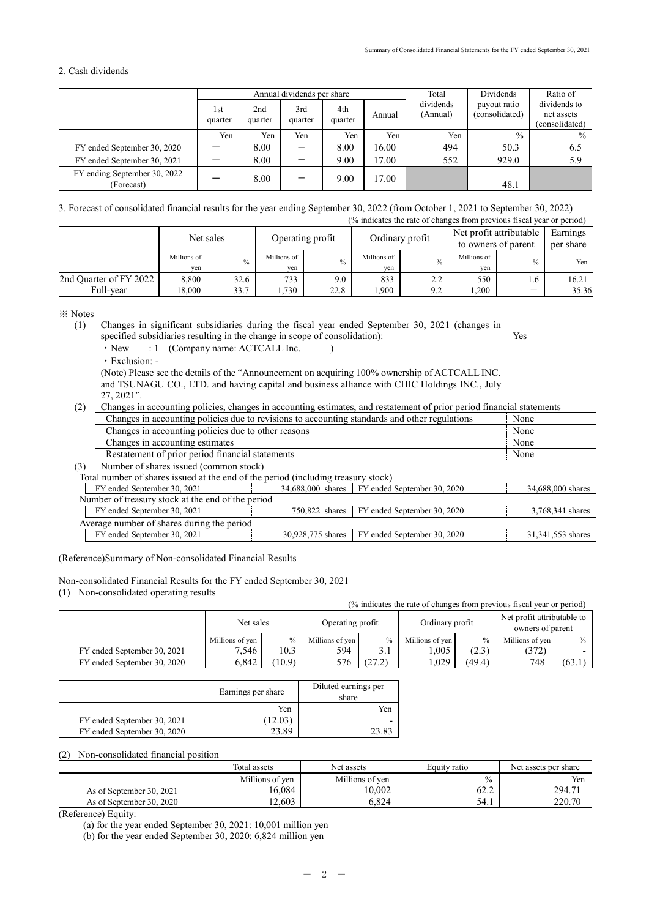## 2. Cash dividends

|                                            | Annual dividends per share |                |                |                |        | Total                 | Dividends                      | Ratio of                                     |  |
|--------------------------------------------|----------------------------|----------------|----------------|----------------|--------|-----------------------|--------------------------------|----------------------------------------------|--|
|                                            | 1st<br>quarter             | 2nd<br>quarter | 3rd<br>quarter | 4th<br>quarter | Annual | dividends<br>(Annual) | payout ratio<br>(consolidated) | dividends to<br>net assets<br>(consolidated) |  |
|                                            | Yen                        | Yen            | Yen            | Yen            | Yen    | Yen                   | $\frac{0}{0}$                  | $\frac{0}{0}$                                |  |
| FY ended September 30, 2020                |                            | 8.00           |                | 8.00           | 16.00  | 494                   | 50.3                           | 6.5                                          |  |
| FY ended September 30, 2021                |                            | 8.00           |                | 9.00           | 17.00  | 552                   | 929.0                          | 5.9                                          |  |
| FY ending September 30, 2022<br>(Forecast) |                            | 8.00           |                | 9.00           | 17.00  |                       | 48.1                           |                                              |  |

# 3. Forecast of consolidated financial results for the year ending September 30, 2022 (from October 1, 2021 to September 30, 2022)

|                        |                    |      |                    |               |                    |               |                    | (% indicates the rate of changes from previous fiscal year or period) |                       |
|------------------------|--------------------|------|--------------------|---------------|--------------------|---------------|--------------------|-----------------------------------------------------------------------|-----------------------|
|                        | Net sales          |      | Operating profit   |               | Ordinary profit    |               |                    | Net profit attributable<br>to owners of parent                        | Earnings<br>per share |
|                        | Millions of<br>ven | $\%$ | Millions of<br>ven | $\frac{0}{0}$ | Millions of<br>ven | $\frac{0}{0}$ | Millions of<br>yen | $\frac{0}{0}$                                                         | Yen                   |
| 2nd Quarter of FY 2022 | 8.800              | 32.6 | 733                | 9.0           | 833                | 2.2           | 550                | 1.6                                                                   | 16.21                 |
| Full-vear              | 18,000             | 33.7 | 1,730              | 22.8          | .900               | 9.2           | .200               | $\overline{\phantom{0}}$                                              | 35.36                 |

※ Notes

(1) Changes in significant subsidiaries during the fiscal year ended September 30, 2021 (changes in specified subsidiaries resulting in the change in scope of consolidation): Yes

 $\cdot$  New  $: 1$  (Company name: ACTCALL Inc. )

・Exclusion: -

(Note) Please see the details of the "Announcement on acquiring 100% ownership of ACTCALL INC. and TSUNAGU CO., LTD. and having capital and business alliance with CHIC Holdings INC., July 27, 2021".

(2) Changes in accounting policies, changes in accounting estimates, and restatement of prior period financial statements

| Changes in accounting policies due to revisions to accounting standards and other regulations | None |
|-----------------------------------------------------------------------------------------------|------|
| Changes in accounting policies due to other reasons                                           | None |
| Changes in accounting estimates                                                               | None |
| Restatement of prior period financial statements                                              | None |
|                                                                                               |      |

(3) Number of shares issued (common stock)

Total number of shares issued at the end of the period (including treasury stock)

| FY ended September 30, 2021                       | 34,688,000 shares | FY ended September 30, 2020                   | 34,688,000 shares |
|---------------------------------------------------|-------------------|-----------------------------------------------|-------------------|
| Number of treasury stock at the end of the period |                   |                                               |                   |
| FY ended September 30, 2021                       |                   | 750,822 shares FY ended September 30, 2020    | 3,768,341 shares  |
| Average number of shares during the period        |                   |                                               |                   |
| FY ended September 30, 2021                       |                   | 30,928,775 shares FY ended September 30, 2020 | 31,341,553 shares |

(Reference)Summary of Non-consolidated Financial Results

Non-consolidated Financial Results for the FY ended September 30, 2021

(1) Non-consolidated operating results

| (% indicates the rate of changes from previous fiscal year or period) |                 |        |                  |        |                 |        |                                                |        |  |
|-----------------------------------------------------------------------|-----------------|--------|------------------|--------|-----------------|--------|------------------------------------------------|--------|--|
|                                                                       | Net sales       |        | Operating profit |        | Ordinary profit |        | Net profit attributable to<br>owners of parent |        |  |
|                                                                       | Millions of yen | $\%$   | Millions of yen  | $\%$   | Millions of yen | $\%$   | Millions of yen                                | $\%$   |  |
| FY ended September 30, 2021                                           | 7.546           | 10.3   | 594              |        | .005            | (2.3)  | (372)                                          |        |  |
| FY ended September 30, 2020                                           | 6.842           | (10.9) | 576              | (27.2) | .029            | (49.4) | 748                                            | (63.1) |  |

|                             | Earnings per share | Diluted earnings per<br>share |
|-----------------------------|--------------------|-------------------------------|
|                             | Yen                | Yen                           |
| FY ended September 30, 2021 | (12.03)            |                               |
| FY ended September 30, 2020 | 23.89              | 23.83                         |

#### (2) Non-consolidated financial position

|                          | Total assets    | Net assets      | Equity ratio | Net assets per share |  |
|--------------------------|-----------------|-----------------|--------------|----------------------|--|
|                          | Millions of yen | Millions of yen | $\%$         | Yen                  |  |
| As of September 30, 2021 | 16.084          | 10,002          | 62.2         | 294.71               |  |
| As of September 30, 2020 | 12.603          | 5.824           | 54.1         | 220.70               |  |

(Reference) Equity:

(a) for the year ended September 30, 2021: 10,001 million yen

(b) for the year ended September 30, 2020: 6,824 million yen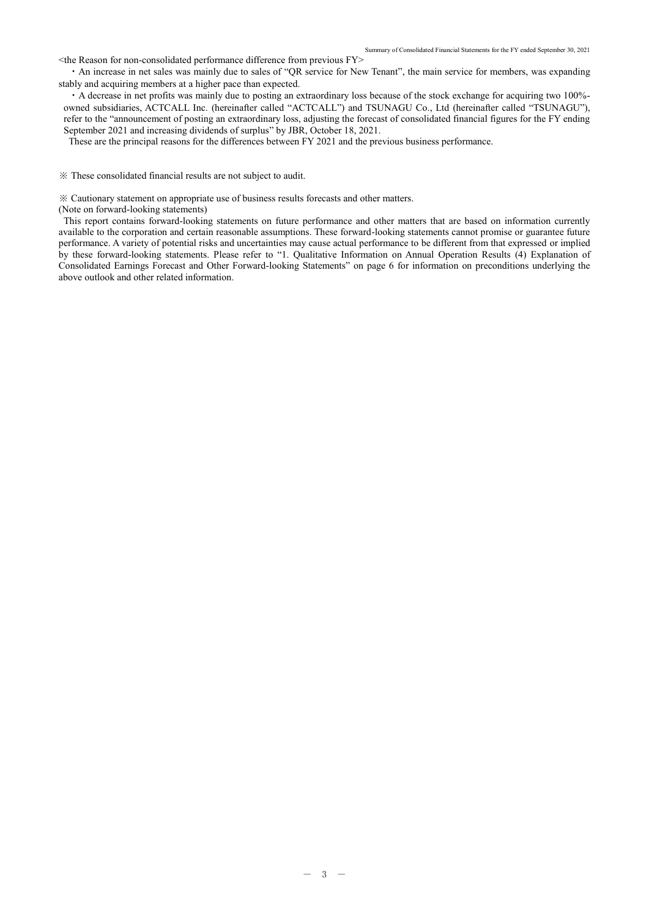$\leq$ the Reason for non-consolidated performance difference from previous FY $>$ 

 ・An increase in net sales was mainly due to sales of "QR service for New Tenant", the main service for members, was expanding stably and acquiring members at a higher pace than expected.

・A decrease in net profits was mainly due to posting an extraordinary loss because of the stock exchange for acquiring two 100% owned subsidiaries, ACTCALL Inc. (hereinafter called "ACTCALL") and TSUNAGU Co., Ltd (hereinafter called "TSUNAGU"), refer to the "announcement of posting an extraordinary loss, adjusting the forecast of consolidated financial figures for the FY ending September 2021 and increasing dividends of surplus" by JBR, October 18, 2021.

These are the principal reasons for the differences between FY 2021 and the previous business performance.

※ These consolidated financial results are not subject to audit.

※ Cautionary statement on appropriate use of business results forecasts and other matters.

(Note on forward-looking statements)

This report contains forward-looking statements on future performance and other matters that are based on information currently available to the corporation and certain reasonable assumptions. These forward-looking statements cannot promise or guarantee future performance. A variety of potential risks and uncertainties may cause actual performance to be different from that expressed or implied by these forward-looking statements. Please refer to "1. Qualitative Information on Annual Operation Results (4) Explanation of Consolidated Earnings Forecast and Other Forward-looking Statements" on page 6 for information on preconditions underlying the above outlook and other related information.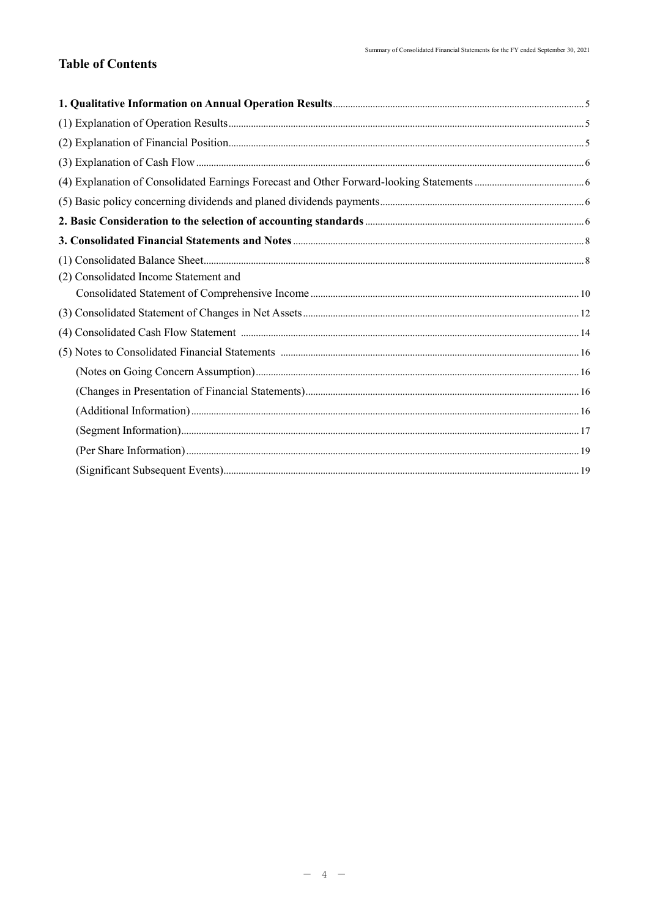# **Table of Contents**

| (2) Consolidated Income Statement and |  |
|---------------------------------------|--|
|                                       |  |
|                                       |  |
|                                       |  |
|                                       |  |
|                                       |  |
|                                       |  |
|                                       |  |
|                                       |  |
|                                       |  |
|                                       |  |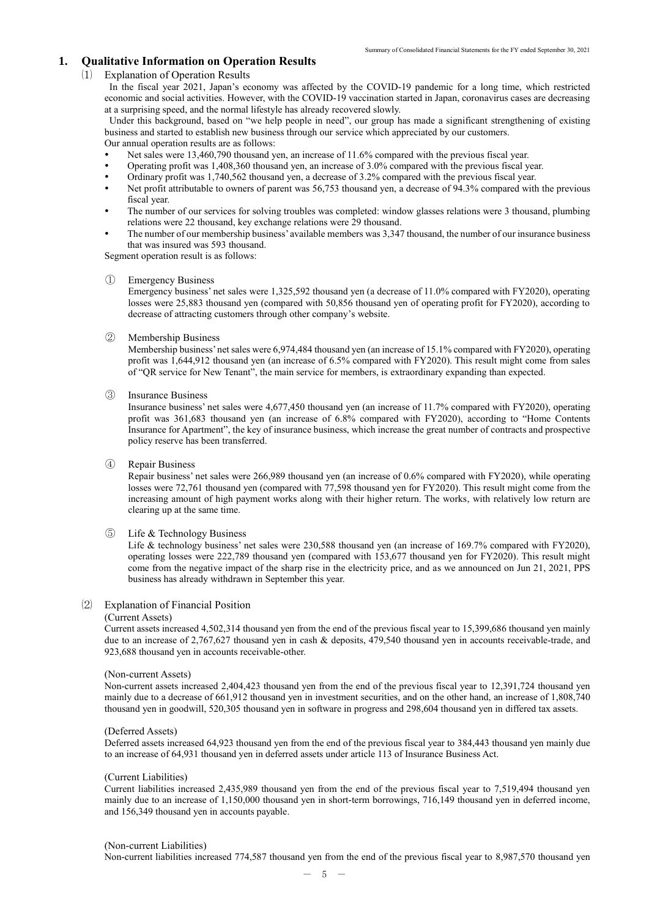## **1. Qualitative Information on Operation Results**

#### ⑴ Explanation of Operation Results

In the fiscal year 2021, Japan's economy was affected by the COVID-19 pandemic for a long time, which restricted economic and social activities. However, with the COVID-19 vaccination started in Japan, coronavirus cases are decreasing at a surprising speed, and the normal lifestyle has already recovered slowly.

Under this background, based on "we help people in need", our group has made a significant strengthening of existing business and started to establish new business through our service which appreciated by our customers. Our annual operation results are as follows:

- Net sales were 13,460,790 thousand yen, an increase of 11.6% compared with the previous fiscal year.
- Operating profit was 1,408,360 thousand yen, an increase of 3.0% compared with the previous fiscal year.
- Ordinary profit was 1,740,562 thousand yen, a decrease of 3.2% compared with the previous fiscal year.
- Net profit attributable to owners of parent was 56,753 thousand yen, a decrease of 94.3% compared with the previous fiscal year.
- The number of our services for solving troubles was completed: window glasses relations were 3 thousand, plumbing relations were 22 thousand, key exchange relations were 29 thousand.
- The number of our membership business' available members was 3,347 thousand, the number of our insurance business that was insured was 593 thousand.

Segment operation result is as follows:

#### ① Emergency Business

Emergency business' net sales were 1,325,592 thousand yen (a decrease of 11.0% compared with FY2020), operating losses were 25,883 thousand yen (compared with 50,856 thousand yen of operating profit for FY2020), according to decrease of attracting customers through other company's website.

#### ② Membership Business

Membership business' net sales were 6,974,484 thousand yen (an increase of 15.1% compared with FY2020), operating profit was 1,644,912 thousand yen (an increase of 6.5% compared with FY2020). This result might come from sales of "QR service for New Tenant", the main service for members, is extraordinary expanding than expected.

#### ③ Insurance Business

Insurance business' net sales were 4,677,450 thousand yen (an increase of 11.7% compared with FY2020), operating profit was 361,683 thousand yen (an increase of 6.8% compared with FY2020), according to "Home Contents Insurance for Apartment", the key of insurance business, which increase the great number of contracts and prospective policy reserve has been transferred.

#### ④ Repair Business

Repair business' net sales were 266,989 thousand yen (an increase of 0.6% compared with FY2020), while operating losses were 72,761 thousand yen (compared with 77,598 thousand yen for FY2020). This result might come from the increasing amount of high payment works along with their higher return. The works, with relatively low return are clearing up at the same time.

#### ⑤ Life & Technology Business

Life & technology business' net sales were 230,588 thousand yen (an increase of 169.7% compared with FY2020), operating losses were 222,789 thousand yen (compared with 153,677 thousand yen for FY2020). This result might come from the negative impact of the sharp rise in the electricity price, and as we announced on Jun 21, 2021, PPS business has already withdrawn in September this year.

#### ⑵ Explanation of Financial Position

#### (Current Assets)

Current assets increased 4,502,314 thousand yen from the end of the previous fiscal year to 15,399,686 thousand yen mainly due to an increase of 2,767,627 thousand yen in cash & deposits, 479,540 thousand yen in accounts receivable-trade, and 923,688 thousand yen in accounts receivable-other.

#### (Non-current Assets)

Non-current assets increased 2,404,423 thousand yen from the end of the previous fiscal year to 12,391,724 thousand yen mainly due to a decrease of 661,912 thousand yen in investment securities, and on the other hand, an increase of 1,808,740 thousand yen in goodwill, 520,305 thousand yen in software in progress and 298,604 thousand yen in differed tax assets.

#### (Deferred Assets)

Deferred assets increased 64,923 thousand yen from the end of the previous fiscal year to 384,443 thousand yen mainly due to an increase of 64,931 thousand yen in deferred assets under article 113 of Insurance Business Act.

#### (Current Liabilities)

Current liabilities increased 2,435,989 thousand yen from the end of the previous fiscal year to 7,519,494 thousand yen mainly due to an increase of 1,150,000 thousand yen in short-term borrowings, 716,149 thousand yen in deferred income, and 156,349 thousand yen in accounts payable.

#### (Non-current Liabilities)

Non-current liabilities increased 774,587 thousand yen from the end of the previous fiscal year to 8,987,570 thousand yen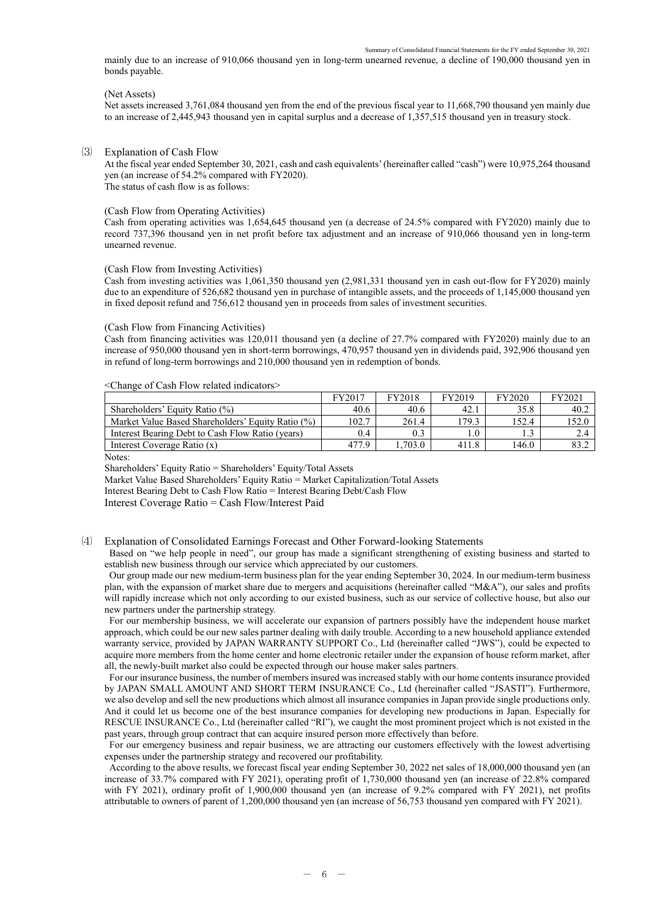mainly due to an increase of 910,066 thousand yen in long-term unearned revenue, a decline of 190,000 thousand yen in bonds payable.

#### (Net Assets)

Net assets increased 3,761,084 thousand yen from the end of the previous fiscal year to 11,668,790 thousand yen mainly due to an increase of 2,445,943 thousand yen in capital surplus and a decrease of 1,357,515 thousand yen in treasury stock.

#### ⑶ Explanation of Cash Flow

At the fiscal year ended September 30, 2021, cash and cash equivalents' (hereinafter called "cash") were 10,975,264 thousand yen (an increase of 54.2% compared with FY2020). The status of cash flow is as follows:

#### (Cash Flow from Operating Activities)

Cash from operating activities was 1,654,645 thousand yen (a decrease of 24.5% compared with FY2020) mainly due to record 737,396 thousand yen in net profit before tax adjustment and an increase of 910,066 thousand yen in long-term unearned revenue.

#### (Cash Flow from Investing Activities)

Cash from investing activities was 1,061,350 thousand yen (2,981,331 thousand yen in cash out-flow for FY2020) mainly due to an expenditure of 526,682 thousand yen in purchase of intangible assets, and the proceeds of 1,145,000 thousand yen in fixed deposit refund and 756,612 thousand yen in proceeds from sales of investment securities.

#### (Cash Flow from Financing Activities)

Cash from financing activities was 120,011 thousand yen (a decline of 27.7% compared with FY2020) mainly due to an increase of 950,000 thousand yen in short-term borrowings, 470,957 thousand yen in dividends paid, 392,906 thousand yen in refund of long-term borrowings and 210,000 thousand yen in redemption of bonds.

#### <Change of Cash Flow related indicators>

|                                                   | FY2017 | <b>FY2018</b> | FY2019 | FY2020 | FY2021 |
|---------------------------------------------------|--------|---------------|--------|--------|--------|
| Shareholders' Equity Ratio (%)                    | 40.6   | 40.6          | 42.1   | 35.8   | -40.2  |
| Market Value Based Shareholders' Equity Ratio (%) | 102.7  | 261.4         | 179.3  | 152.4  | 152.0  |
| Interest Bearing Debt to Cash Flow Ratio (years)  | 0.4    | 0.3           | 0.1    |        |        |
| Interest Coverage Ratio (x)                       | 477.9  | .703.0        | 411.8  | 146.0  | 83.2   |

Notes:

Shareholders' Equity Ratio = Shareholders' Equity/Total Assets

Market Value Based Shareholders' Equity Ratio = Market Capitalization/Total Assets

Interest Bearing Debt to Cash Flow Ratio = Interest Bearing Debt/Cash Flow

Interest Coverage Ratio = Cash Flow/Interest Paid

## ⑷ Explanation of Consolidated Earnings Forecast and Other Forward-looking Statements

Based on "we help people in need", our group has made a significant strengthening of existing business and started to establish new business through our service which appreciated by our customers.

Our group made our new medium-term business plan for the year ending September 30, 2024. In our medium-term business plan, with the expansion of market share due to mergers and acquisitions (hereinafter called "M&A"), our sales and profits will rapidly increase which not only according to our existed business, such as our service of collective house, but also our new partners under the partnership strategy.

For our membership business, we will accelerate our expansion of partners possibly have the independent house market approach, which could be our new sales partner dealing with daily trouble. According to a new household appliance extended warranty service, provided by JAPAN WARRANTY SUPPORT Co., Ltd (hereinafter called "JWS"), could be expected to acquire more members from the home center and home electronic retailer under the expansion of house reform market, after all, the newly-built market also could be expected through our house maker sales partners.

For our insurance business, the number of members insured was increased stably with our home contents insurance provided by JAPAN SMALL AMOUNT AND SHORT TERM INSURANCE Co., Ltd (hereinafter called "JSASTI"). Furthermore, we also develop and sell the new productions which almost all insurance companies in Japan provide single productions only. And it could let us become one of the best insurance companies for developing new productions in Japan. Especially for RESCUE INSURANCE Co., Ltd (hereinafter called "RI"), we caught the most prominent project which is not existed in the past years, through group contract that can acquire insured person more effectively than before.

For our emergency business and repair business, we are attracting our customers effectively with the lowest advertising expenses under the partnership strategy and recovered our profitability.

According to the above results, we forecast fiscal year ending September 30, 2022 net sales of 18,000,000 thousand yen (an increase of 33.7% compared with FY 2021), operating profit of 1,730,000 thousand yen (an increase of 22.8% compared with FY 2021), ordinary profit of 1,900,000 thousand yen (an increase of 9.2% compared with FY 2021), net profits attributable to owners of parent of 1,200,000 thousand yen (an increase of 56,753 thousand yen compared with FY 2021).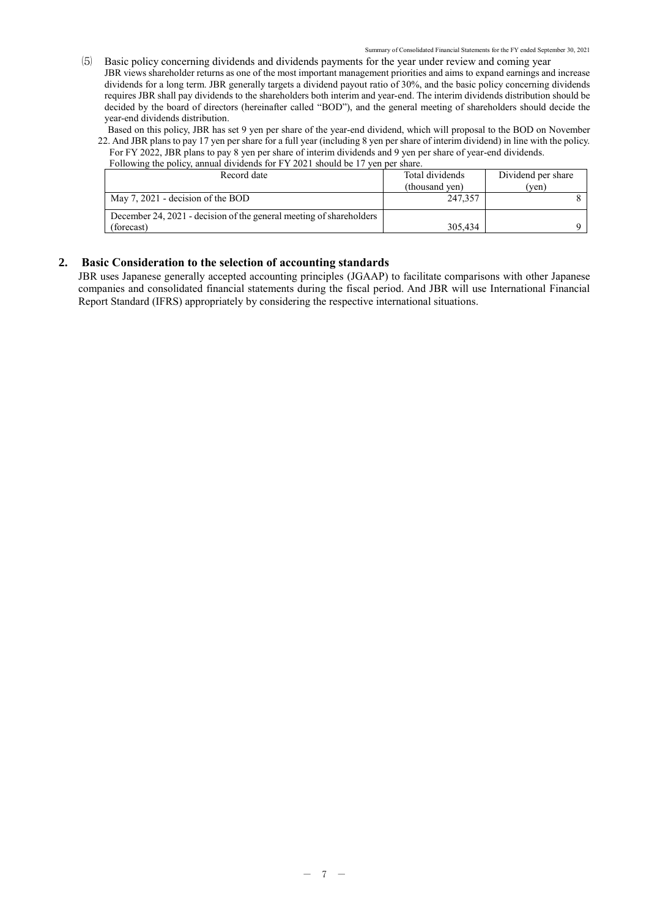⑸ Basic policy concerning dividends and dividends payments for the year under review and coming year JBR views shareholder returns as one of the most important management priorities and aims to expand earnings and increase dividends for a long term. JBR generally targets a dividend payout ratio of 30%, and the basic policy concerning dividends requires JBR shall pay dividends to the shareholders both interim and year-end. The interim dividends distribution should be decided by the board of directors (hereinafter called "BOD"), and the general meeting of shareholders should decide the year-end dividends distribution.

Based on this policy, JBR has set 9 yen per share of the year-end dividend, which will proposal to the BOD on November 22. And JBR plans to pay 17 yen per share for a full year (including 8 yen per share of interim dividend) in line with the policy.

For FY 2022, JBR plans to pay 8 yen per share of interim dividends and 9 yen per share of year-end dividends. Following the policy, annual dividends for FY 2021 should be 17 yen per share.

| Record date                                                         | Total dividends | Dividend per share |
|---------------------------------------------------------------------|-----------------|--------------------|
|                                                                     | (thousand ven)  | (ven)              |
| May 7, 2021 - decision of the BOD                                   | 247,357         |                    |
| December 24, 2021 - decision of the general meeting of shareholders |                 |                    |
| (forecast)                                                          | 305,434         |                    |

## **2. Basic Consideration to the selection of accounting standards**

JBR uses Japanese generally accepted accounting principles (JGAAP) to facilitate comparisons with other Japanese companies and consolidated financial statements during the fiscal period. And JBR will use International Financial Report Standard (IFRS) appropriately by considering the respective international situations.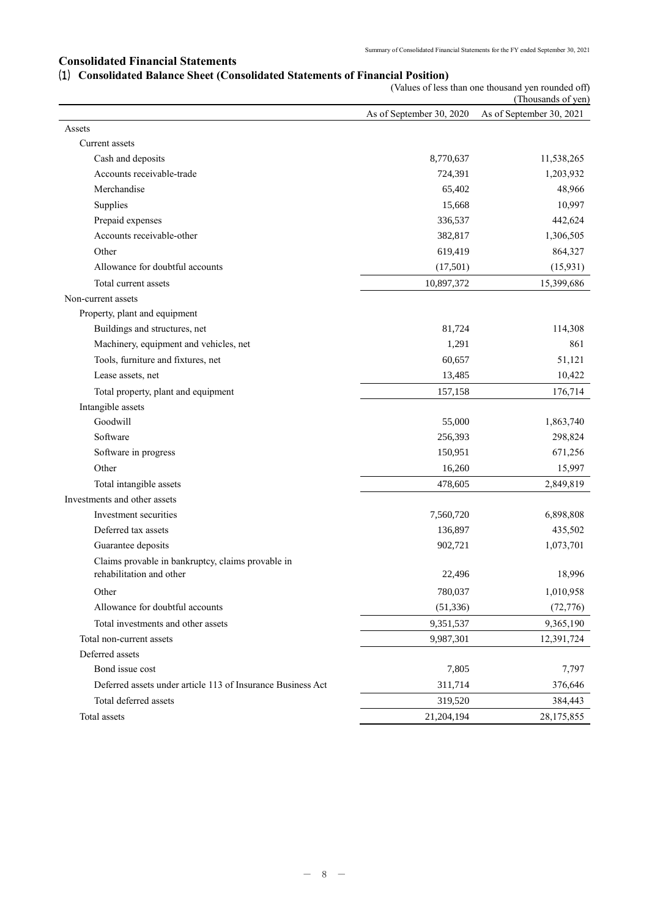## **Consolidated Financial Statements**

|  |  | (1) Consolidated Balance Sheet (Consolidated Statements of Financial Position) |
|--|--|--------------------------------------------------------------------------------|
|--|--|--------------------------------------------------------------------------------|

|                                                             | (Values of less than one thousand yen rounded off)<br>(Thousands of yen) |                          |  |  |
|-------------------------------------------------------------|--------------------------------------------------------------------------|--------------------------|--|--|
|                                                             | As of September 30, 2020                                                 | As of September 30, 2021 |  |  |
| Assets                                                      |                                                                          |                          |  |  |
| Current assets                                              |                                                                          |                          |  |  |
| Cash and deposits                                           | 8,770,637                                                                | 11,538,265               |  |  |
| Accounts receivable-trade                                   | 724,391                                                                  | 1,203,932                |  |  |
| Merchandise                                                 | 65,402                                                                   | 48,966                   |  |  |
| Supplies                                                    | 15,668                                                                   | 10,997                   |  |  |
| Prepaid expenses                                            | 336,537                                                                  | 442,624                  |  |  |
| Accounts receivable-other                                   | 382,817                                                                  | 1,306,505                |  |  |
| Other                                                       | 619,419                                                                  | 864,327                  |  |  |
| Allowance for doubtful accounts                             | (17, 501)                                                                | (15, 931)                |  |  |
| Total current assets                                        | 10,897,372                                                               | 15,399,686               |  |  |
| Non-current assets                                          |                                                                          |                          |  |  |
| Property, plant and equipment                               |                                                                          |                          |  |  |
| Buildings and structures, net                               | 81,724                                                                   | 114,308                  |  |  |
| Machinery, equipment and vehicles, net                      | 1,291                                                                    | 861                      |  |  |
| Tools, furniture and fixtures, net                          | 60,657                                                                   | 51,121                   |  |  |
| Lease assets, net                                           | 13,485                                                                   | 10,422                   |  |  |
| Total property, plant and equipment                         | 157,158                                                                  | 176,714                  |  |  |
| Intangible assets                                           |                                                                          |                          |  |  |
| Goodwill                                                    | 55,000                                                                   | 1,863,740                |  |  |
| Software                                                    | 256,393                                                                  | 298,824                  |  |  |
| Software in progress                                        | 150,951                                                                  | 671,256                  |  |  |
| Other                                                       | 16,260                                                                   | 15,997                   |  |  |
| Total intangible assets                                     | 478,605                                                                  | 2,849,819                |  |  |
| Investments and other assets                                |                                                                          |                          |  |  |
| Investment securities                                       | 7,560,720                                                                | 6,898,808                |  |  |
| Deferred tax assets                                         | 136,897                                                                  | 435,502                  |  |  |
| Guarantee deposits                                          | 902,721                                                                  | 1,073,701                |  |  |
| Claims provable in bankruptcy, claims provable in           |                                                                          |                          |  |  |
| rehabilitation and other                                    | 22,496                                                                   | 18,996                   |  |  |
| Other                                                       | 780,037                                                                  | 1,010,958                |  |  |
| Allowance for doubtful accounts                             | (51, 336)                                                                | (72, 776)                |  |  |
| Total investments and other assets                          | 9,351,537                                                                | 9,365,190                |  |  |
| Total non-current assets                                    | 9,987,301                                                                | 12,391,724               |  |  |
| Deferred assets                                             |                                                                          |                          |  |  |
| Bond issue cost                                             | 7,805                                                                    | 7,797                    |  |  |
| Deferred assets under article 113 of Insurance Business Act | 311,714                                                                  | 376,646                  |  |  |
| Total deferred assets                                       | 319,520                                                                  | 384,443                  |  |  |
| Total assets                                                | 21,204,194                                                               | 28,175,855               |  |  |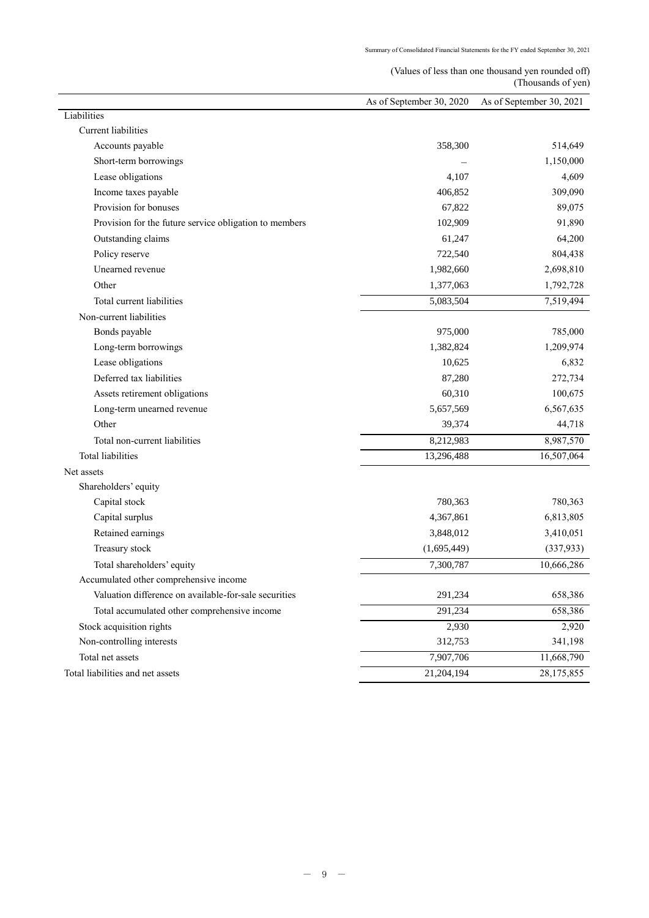# (Values of less than one thousand yen rounded off) (Thousands of yen)

|                                                        | As of September 30, 2020 | As of September 30, 2021 |
|--------------------------------------------------------|--------------------------|--------------------------|
| Liabilities                                            |                          |                          |
| Current liabilities                                    |                          |                          |
| Accounts payable                                       | 358,300                  | 514,649                  |
| Short-term borrowings                                  |                          | 1,150,000                |
| Lease obligations                                      | 4,107                    | 4,609                    |
| Income taxes payable                                   | 406,852                  | 309,090                  |
| Provision for bonuses                                  | 67,822                   | 89,075                   |
| Provision for the future service obligation to members | 102,909                  | 91,890                   |
| Outstanding claims                                     | 61,247                   | 64,200                   |
| Policy reserve                                         | 722,540                  | 804,438                  |
| Unearned revenue                                       | 1,982,660                | 2,698,810                |
| Other                                                  | 1,377,063                | 1,792,728                |
| Total current liabilities                              | 5,083,504                | 7,519,494                |
| Non-current liabilities                                |                          |                          |
| Bonds payable                                          | 975,000                  | 785,000                  |
| Long-term borrowings                                   | 1,382,824                | 1,209,974                |
| Lease obligations                                      | 10,625                   | 6,832                    |
| Deferred tax liabilities                               | 87,280                   | 272,734                  |
| Assets retirement obligations                          | 60,310                   | 100,675                  |
| Long-term unearned revenue                             | 5,657,569                | 6,567,635                |
| Other                                                  | 39,374                   | 44,718                   |
| Total non-current liabilities                          | 8,212,983                | 8,987,570                |
| <b>Total liabilities</b>                               | 13,296,488               | 16,507,064               |
| Net assets                                             |                          |                          |
| Shareholders' equity                                   |                          |                          |
| Capital stock                                          | 780,363                  | 780,363                  |
| Capital surplus                                        | 4,367,861                | 6,813,805                |
| Retained earnings                                      | 3,848,012                | 3,410,051                |
| Treasury stock                                         | (1,695,449)              | (337, 933)               |
| Total shareholders' equity                             | 7,300,787                | 10,666,286               |
| Accumulated other comprehensive income                 |                          |                          |
| Valuation difference on available-for-sale securities  | 291,234                  | 658,386                  |
| Total accumulated other comprehensive income           | 291,234                  | 658,386                  |
| Stock acquisition rights                               | 2,930                    | 2,920                    |
| Non-controlling interests                              | 312,753                  | 341,198                  |
| Total net assets                                       | 7,907,706                | 11,668,790               |
| Total liabilities and net assets                       | 21,204,194               | 28,175,855               |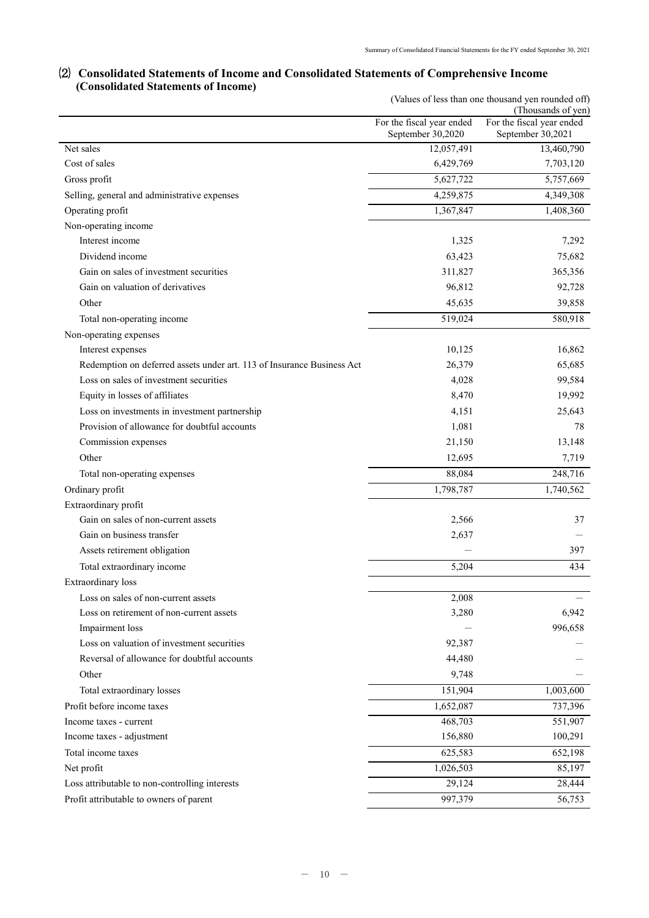# ⑵ **Consolidated Statements of Income and Consolidated Statements of Comprehensive Income (Consolidated Statements of Income)**

|                                                                        | (Values of less than one thousand yen rounded off)<br>(Thousands of yen) |                                                |  |  |
|------------------------------------------------------------------------|--------------------------------------------------------------------------|------------------------------------------------|--|--|
|                                                                        | For the fiscal year ended<br>September 30,2020                           | For the fiscal year ended<br>September 30,2021 |  |  |
| Net sales                                                              | 12,057,491                                                               | 13,460,790                                     |  |  |
| Cost of sales                                                          | 6,429,769                                                                | 7,703,120                                      |  |  |
| Gross profit                                                           | 5,627,722                                                                | 5,757,669                                      |  |  |
| Selling, general and administrative expenses                           | 4,259,875                                                                | 4,349,308                                      |  |  |
| Operating profit                                                       | 1,367,847                                                                | 1,408,360                                      |  |  |
| Non-operating income                                                   |                                                                          |                                                |  |  |
| Interest income                                                        | 1,325                                                                    | 7,292                                          |  |  |
| Dividend income                                                        | 63,423                                                                   | 75,682                                         |  |  |
| Gain on sales of investment securities                                 | 311,827                                                                  | 365,356                                        |  |  |
| Gain on valuation of derivatives                                       | 96,812                                                                   | 92,728                                         |  |  |
| Other                                                                  | 45,635                                                                   | 39,858                                         |  |  |
| Total non-operating income                                             | 519,024                                                                  | 580,918                                        |  |  |
| Non-operating expenses                                                 |                                                                          |                                                |  |  |
| Interest expenses                                                      | 10,125                                                                   | 16,862                                         |  |  |
| Redemption on deferred assets under art. 113 of Insurance Business Act | 26,379                                                                   | 65,685                                         |  |  |
| Loss on sales of investment securities                                 | 4,028                                                                    | 99,584                                         |  |  |
| Equity in losses of affiliates                                         | 8,470                                                                    | 19,992                                         |  |  |
| Loss on investments in investment partnership                          | 4,151                                                                    | 25,643                                         |  |  |
| Provision of allowance for doubtful accounts                           | 1,081                                                                    | 78                                             |  |  |
| Commission expenses                                                    | 21,150                                                                   | 13,148                                         |  |  |
| Other                                                                  | 12,695                                                                   | 7,719                                          |  |  |
| Total non-operating expenses                                           | 88,084                                                                   | 248,716                                        |  |  |
| Ordinary profit                                                        | 1,798,787                                                                | 1,740,562                                      |  |  |
| Extraordinary profit                                                   |                                                                          |                                                |  |  |
| Gain on sales of non-current assets                                    | 2,566                                                                    | 37                                             |  |  |
| Gain on business transfer                                              | 2,637                                                                    |                                                |  |  |
| Assets retirement obligation                                           |                                                                          | 397                                            |  |  |
| Total extraordinary income                                             | 5,204                                                                    | 434                                            |  |  |
| Extraordinary loss                                                     |                                                                          |                                                |  |  |
| Loss on sales of non-current assets                                    | 2,008                                                                    |                                                |  |  |
| Loss on retirement of non-current assets                               | 3,280                                                                    | 6,942                                          |  |  |
| Impairment loss                                                        |                                                                          | 996,658                                        |  |  |
| Loss on valuation of investment securities                             | 92,387                                                                   |                                                |  |  |
| Reversal of allowance for doubtful accounts                            | 44,480                                                                   |                                                |  |  |
| Other                                                                  | 9,748                                                                    |                                                |  |  |
| Total extraordinary losses                                             | 151,904                                                                  | 1,003,600                                      |  |  |
| Profit before income taxes                                             | 1,652,087                                                                | 737,396                                        |  |  |
| Income taxes - current                                                 | 468,703                                                                  | 551,907                                        |  |  |
| Income taxes - adjustment                                              | 156,880                                                                  | 100,291                                        |  |  |
| Total income taxes                                                     | 625,583                                                                  | 652,198                                        |  |  |
| Net profit                                                             | 1,026,503                                                                | 85,197                                         |  |  |
| Loss attributable to non-controlling interests                         | 29,124                                                                   | 28,444                                         |  |  |
| Profit attributable to owners of parent                                | 997,379                                                                  | 56,753                                         |  |  |
|                                                                        |                                                                          |                                                |  |  |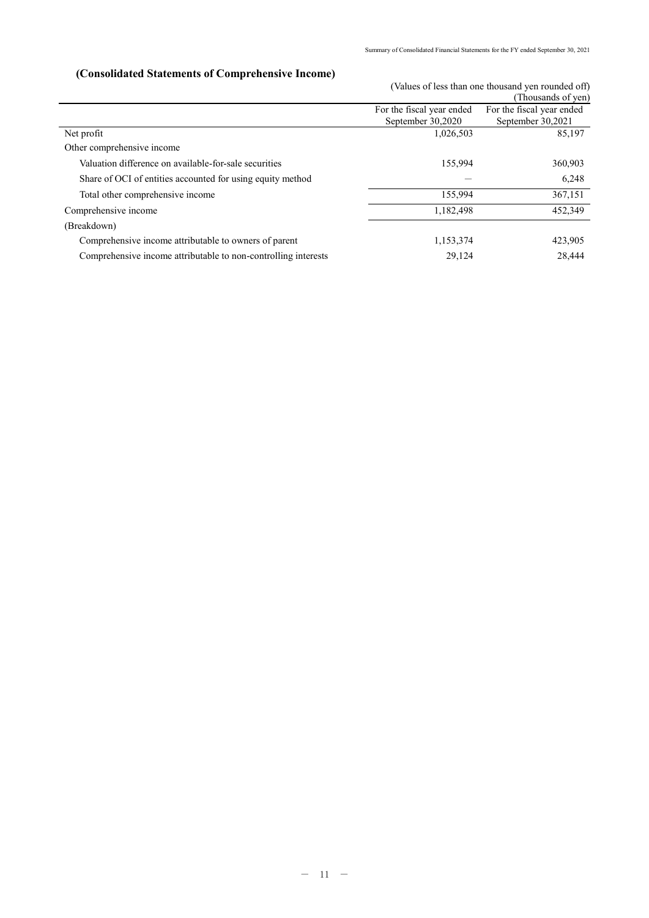# **(Consolidated Statements of Comprehensive Income)**

(Values of less than one thousand yen rounded off) (Thousands of yen)

|                                                                |                                                | $1110u$ odnus UI y VII                         |
|----------------------------------------------------------------|------------------------------------------------|------------------------------------------------|
|                                                                | For the fiscal year ended<br>September 30,2020 | For the fiscal year ended<br>September 30,2021 |
| Net profit                                                     | 1,026,503                                      | 85,197                                         |
| Other comprehensive income                                     |                                                |                                                |
| Valuation difference on available-for-sale securities          | 155,994                                        | 360,903                                        |
| Share of OCI of entities accounted for using equity method     |                                                | 6,248                                          |
| Total other comprehensive income                               | 155,994                                        | 367,151                                        |
| Comprehensive income                                           | 1,182,498                                      | 452,349                                        |
| (Breakdown)                                                    |                                                |                                                |
| Comprehensive income attributable to owners of parent          | 1,153,374                                      | 423,905                                        |
| Comprehensive income attributable to non-controlling interests | 29,124                                         | 28.444                                         |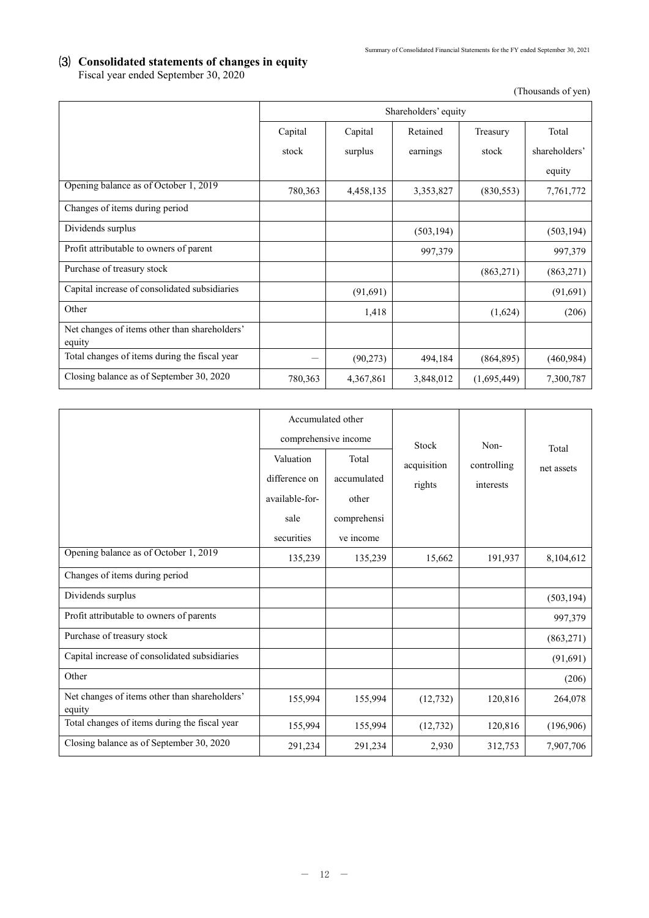## ⑶ **Consolidated statements of changes in equity** Fiscal year ended September 30, 2020

(Thousands of yen)

|                                                         |         | Shareholders' equity |            |             |               |
|---------------------------------------------------------|---------|----------------------|------------|-------------|---------------|
|                                                         | Capital | Capital              | Retained   | Treasury    | Total         |
|                                                         | stock   | surplus              | earnings   | stock       | shareholders' |
|                                                         |         |                      |            |             | equity        |
| Opening balance as of October 1, 2019                   | 780,363 | 4,458,135            | 3,353,827  | (830, 553)  | 7,761,772     |
| Changes of items during period                          |         |                      |            |             |               |
| Dividends surplus                                       |         |                      | (503, 194) |             | (503, 194)    |
| Profit attributable to owners of parent                 |         |                      | 997,379    |             | 997,379       |
| Purchase of treasury stock                              |         |                      |            | (863,271)   | (863, 271)    |
| Capital increase of consolidated subsidiaries           |         | (91,691)             |            |             | (91, 691)     |
| Other                                                   |         | 1,418                |            | (1,624)     | (206)         |
| Net changes of items other than shareholders'<br>equity |         |                      |            |             |               |
| Total changes of items during the fiscal year           |         | (90,273)             | 494,184    | (864, 895)  | (460, 984)    |
| Closing balance as of September 30, 2020                | 780,363 | 4,367,861            | 3,848,012  | (1,695,449) | 7,300,787     |

|                                                         | Accumulated other |                      |             |                          |            |
|---------------------------------------------------------|-------------------|----------------------|-------------|--------------------------|------------|
|                                                         |                   | comprehensive income | Stock       | Non-                     | Total      |
|                                                         | Valuation         | Total                | acquisition | controlling<br>interests | net assets |
|                                                         | difference on     | accumulated          | rights      |                          |            |
|                                                         | available-for-    | other                |             |                          |            |
|                                                         | sale              | comprehensi          |             |                          |            |
|                                                         | securities        | ve income            |             |                          |            |
| Opening balance as of October 1, 2019                   | 135,239           | 135,239              | 15,662      | 191,937                  | 8,104,612  |
| Changes of items during period                          |                   |                      |             |                          |            |
| Dividends surplus                                       |                   |                      |             |                          | (503, 194) |
| Profit attributable to owners of parents                |                   |                      |             |                          | 997,379    |
| Purchase of treasury stock                              |                   |                      |             |                          | (863, 271) |
| Capital increase of consolidated subsidiaries           |                   |                      |             |                          | (91, 691)  |
| Other                                                   |                   |                      |             |                          | (206)      |
| Net changes of items other than shareholders'<br>equity | 155,994           | 155,994              | (12, 732)   | 120,816                  | 264,078    |
| Total changes of items during the fiscal year           | 155,994           | 155,994              | (12, 732)   | 120,816                  | (196,906)  |
| Closing balance as of September 30, 2020                | 291,234           | 291,234              | 2,930       | 312,753                  | 7,907,706  |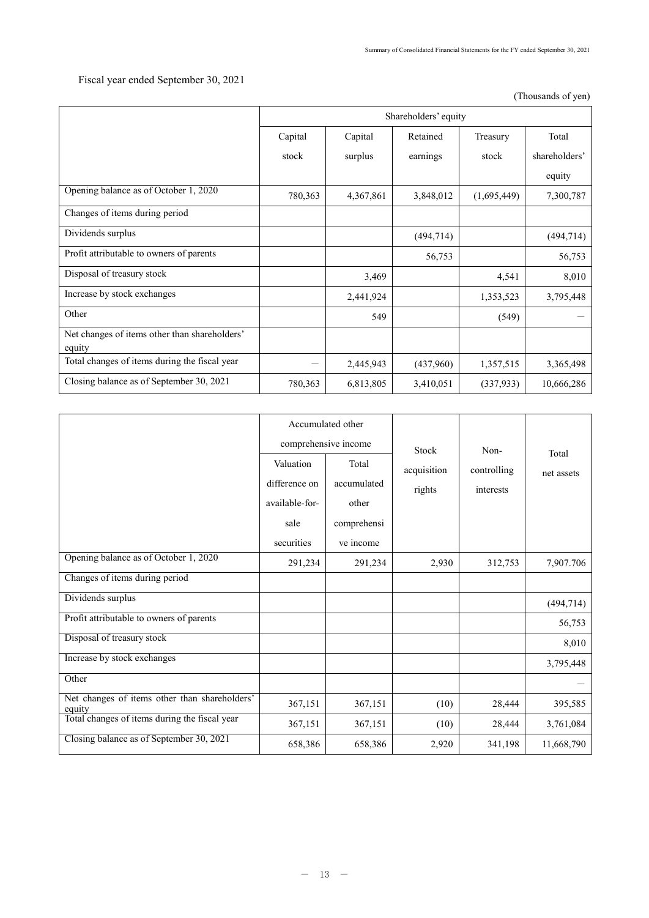# Fiscal year ended September 30, 2021

(Thousands of yen)

|                                                         | Shareholders' equity |           |            |             |               |
|---------------------------------------------------------|----------------------|-----------|------------|-------------|---------------|
|                                                         | Capital              | Capital   | Retained   | Treasury    | Total         |
|                                                         | stock                | surplus   | earnings   | stock       | shareholders' |
|                                                         |                      |           |            |             | equity        |
| Opening balance as of October 1, 2020                   | 780,363              | 4,367,861 | 3,848,012  | (1,695,449) | 7,300,787     |
| Changes of items during period                          |                      |           |            |             |               |
| Dividends surplus                                       |                      |           | (494, 714) |             | (494, 714)    |
| Profit attributable to owners of parents                |                      |           | 56,753     |             | 56,753        |
| Disposal of treasury stock                              |                      | 3,469     |            | 4,541       | 8,010         |
| Increase by stock exchanges                             |                      | 2,441,924 |            | 1,353,523   | 3,795,448     |
| Other                                                   |                      | 549       |            | (549)       |               |
| Net changes of items other than shareholders'<br>equity |                      |           |            |             |               |
| Total changes of items during the fiscal year           |                      | 2,445,943 | (437,960)  | 1,357,515   | 3,365,498     |
| Closing balance as of September 30, 2021                | 780,363              | 6,813,805 | 3,410,051  | (337,933)   | 10,666,286    |

|                                                         | Accumulated other                 |                      |            |           |            |
|---------------------------------------------------------|-----------------------------------|----------------------|------------|-----------|------------|
|                                                         |                                   | comprehensive income | Stock      | Non-      | Total      |
|                                                         | Valuation<br>Total<br>controlling | acquisition          | net assets |           |            |
|                                                         | difference on                     | accumulated          | rights     | interests |            |
|                                                         | available-for-                    | other                |            |           |            |
|                                                         | sale                              | comprehensi          |            |           |            |
|                                                         | securities                        | ve income            |            |           |            |
| Opening balance as of October 1, 2020                   | 291,234                           | 291,234              | 2,930      | 312,753   | 7,907.706  |
| Changes of items during period                          |                                   |                      |            |           |            |
| Dividends surplus                                       |                                   |                      |            |           | (494, 714) |
| Profit attributable to owners of parents                |                                   |                      |            |           | 56,753     |
| Disposal of treasury stock                              |                                   |                      |            |           | 8,010      |
| Increase by stock exchanges                             |                                   |                      |            |           | 3,795,448  |
| Other                                                   |                                   |                      |            |           |            |
| Net changes of items other than shareholders'<br>equity | 367,151                           | 367,151              | (10)       | 28,444    | 395,585    |
| Total changes of items during the fiscal year           | 367,151                           | 367,151              | (10)       | 28,444    | 3,761,084  |
| Closing balance as of September 30, 2021                | 658,386                           | 658,386              | 2,920      | 341,198   | 11,668,790 |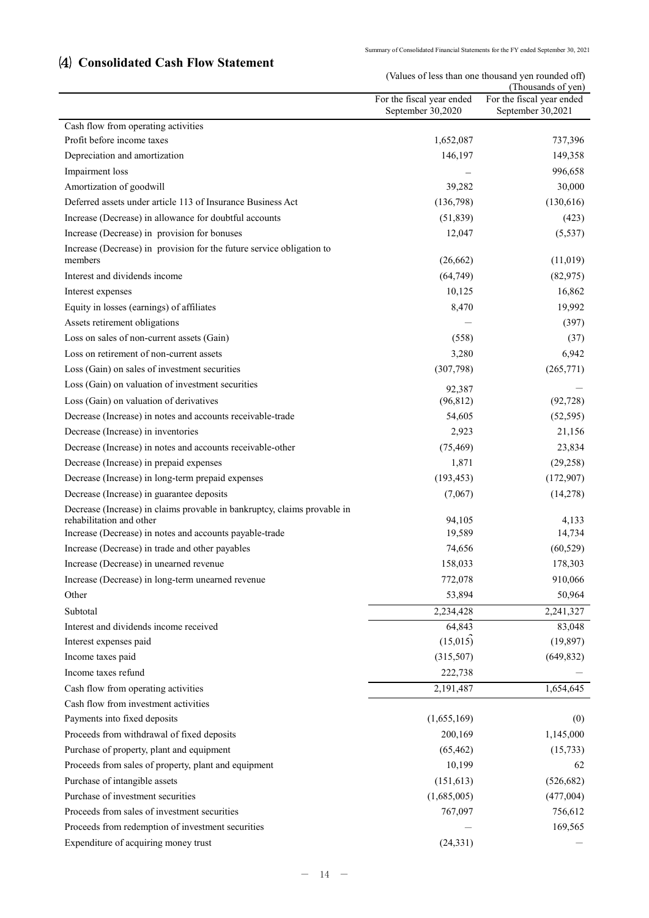# ⑷ **Consolidated Cash Flow Statement**

(Values of less than one thousand yen rounded off)

|                                                                                                      |                           | (Thousands of yen)        |
|------------------------------------------------------------------------------------------------------|---------------------------|---------------------------|
|                                                                                                      | For the fiscal year ended | For the fiscal year ended |
| Cash flow from operating activities                                                                  | September 30,2020         | September 30,2021         |
| Profit before income taxes                                                                           | 1,652,087                 | 737,396                   |
| Depreciation and amortization                                                                        | 146,197                   | 149,358                   |
| Impairment loss                                                                                      |                           | 996,658                   |
| Amortization of goodwill                                                                             | 39,282                    | 30,000                    |
| Deferred assets under article 113 of Insurance Business Act                                          | (136,798)                 | (130,616)                 |
| Increase (Decrease) in allowance for doubtful accounts                                               | (51, 839)                 | (423)                     |
| Increase (Decrease) in provision for bonuses                                                         | 12,047                    |                           |
| Increase (Decrease) in provision for the future service obligation to                                |                           | (5, 537)                  |
| members                                                                                              | (26,662)                  | (11,019)                  |
| Interest and dividends income                                                                        | (64, 749)                 | (82,975)                  |
| Interest expenses                                                                                    | 10,125                    | 16,862                    |
| Equity in losses (earnings) of affiliates                                                            | 8,470                     | 19,992                    |
| Assets retirement obligations                                                                        |                           | (397)                     |
| Loss on sales of non-current assets (Gain)                                                           | (558)                     | (37)                      |
| Loss on retirement of non-current assets                                                             | 3,280                     | 6,942                     |
| Loss (Gain) on sales of investment securities                                                        | (307,798)                 | (265,771)                 |
| Loss (Gain) on valuation of investment securities                                                    |                           |                           |
| Loss (Gain) on valuation of derivatives                                                              | 92,387<br>(96, 812)       |                           |
| Decrease (Increase) in notes and accounts receivable-trade                                           |                           | (92, 728)                 |
|                                                                                                      | 54,605                    | (52, 595)                 |
| Decrease (Increase) in inventories                                                                   | 2,923                     | 21,156                    |
| Decrease (Increase) in notes and accounts receivable-other                                           | (75, 469)                 | 23,834                    |
| Decrease (Increase) in prepaid expenses                                                              | 1,871                     | (29, 258)                 |
| Decrease (Increase) in long-term prepaid expenses                                                    | (193, 453)                | (172,907)                 |
| Decrease (Increase) in guarantee deposits                                                            | (7,067)                   | (14,278)                  |
| Decrease (Increase) in claims provable in bankruptcy, claims provable in<br>rehabilitation and other | 94,105                    | 4,133                     |
| Increase (Decrease) in notes and accounts payable-trade                                              | 19,589                    | 14,734                    |
| Increase (Decrease) in trade and other payables                                                      | 74,656                    | (60, 529)                 |
| Increase (Decrease) in unearned revenue                                                              | 158,033                   | 178,303                   |
| Increase (Decrease) in long-term unearned revenue                                                    | 772,078                   | 910,066                   |
| Other                                                                                                | 53,894                    | 50,964                    |
| Subtotal                                                                                             | 2,234,428                 | 2,241,327                 |
| Interest and dividends income received                                                               | 64,843                    | 83,048                    |
| Interest expenses paid                                                                               | (15,015)                  | (19, 897)                 |
| Income taxes paid                                                                                    | (315,507)                 | (649, 832)                |
| Income taxes refund                                                                                  | 222,738                   |                           |
| Cash flow from operating activities                                                                  | 2,191,487                 | 1,654,645                 |
| Cash flow from investment activities                                                                 |                           |                           |
| Payments into fixed deposits                                                                         | (1,655,169)               | (0)                       |
| Proceeds from withdrawal of fixed deposits                                                           | 200,169                   | 1,145,000                 |
| Purchase of property, plant and equipment                                                            | (65, 462)                 | (15,733)                  |
| Proceeds from sales of property, plant and equipment                                                 | 10,199                    | 62                        |
| Purchase of intangible assets                                                                        | (151, 613)                | (526, 682)                |
| Purchase of investment securities                                                                    | (1,685,005)               | (477,004)                 |
| Proceeds from sales of investment securities                                                         | 767,097                   | 756,612                   |
| Proceeds from redemption of investment securities                                                    |                           | 169,565                   |
| Expenditure of acquiring money trust                                                                 | (24, 331)                 |                           |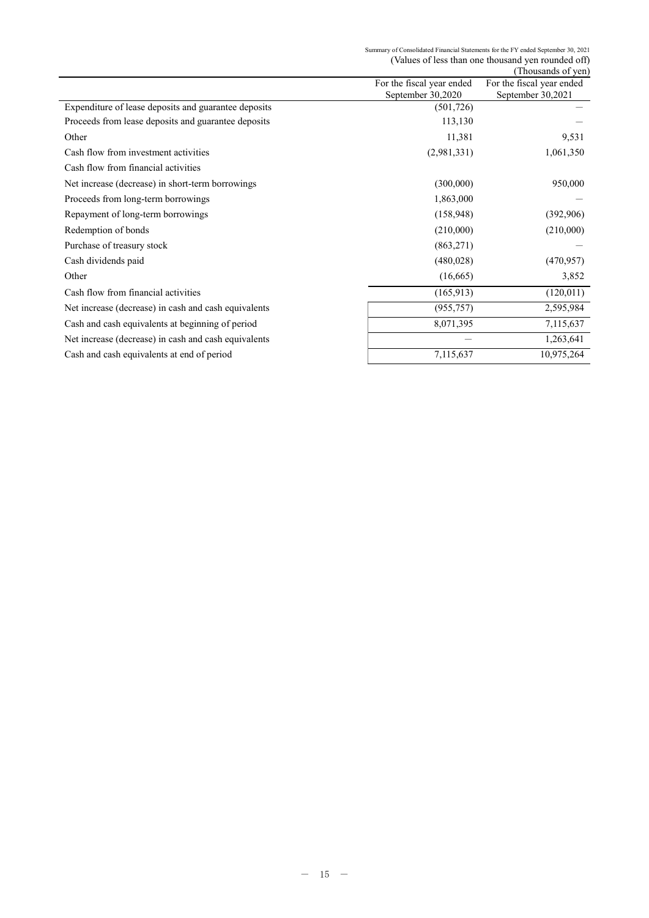# Summary of Consolidated Financial Statements for the FY ended September 30, 2021 (Values of less than one thousand yen rounded off) (Thousands of yen)

|                                                      |                           | Thousands of yen          |
|------------------------------------------------------|---------------------------|---------------------------|
|                                                      | For the fiscal year ended | For the fiscal year ended |
|                                                      | September 30,2020         | September 30,2021         |
| Expenditure of lease deposits and guarantee deposits | (501, 726)                |                           |
| Proceeds from lease deposits and guarantee deposits  | 113,130                   |                           |
| Other                                                | 11,381                    | 9,531                     |
| Cash flow from investment activities                 | (2,981,331)               | 1,061,350                 |
| Cash flow from financial activities                  |                           |                           |
| Net increase (decrease) in short-term borrowings     | (300,000)                 | 950,000                   |
| Proceeds from long-term borrowings                   | 1,863,000                 |                           |
| Repayment of long-term borrowings                    | (158, 948)                | (392,906)                 |
| Redemption of bonds                                  | (210,000)                 | (210,000)                 |
| Purchase of treasury stock                           | (863,271)                 |                           |
| Cash dividends paid                                  | (480,028)                 | (470, 957)                |
| Other                                                | (16,665)                  | 3,852                     |
| Cash flow from financial activities                  | (165, 913)                | (120, 011)                |
| Net increase (decrease) in cash and cash equivalents | (955, 757)                | 2,595,984                 |
| Cash and cash equivalents at beginning of period     | 8,071,395                 | 7,115,637                 |
| Net increase (decrease) in cash and cash equivalents |                           | 1,263,641                 |
| Cash and cash equivalents at end of period           | 7,115,637                 | 10,975,264                |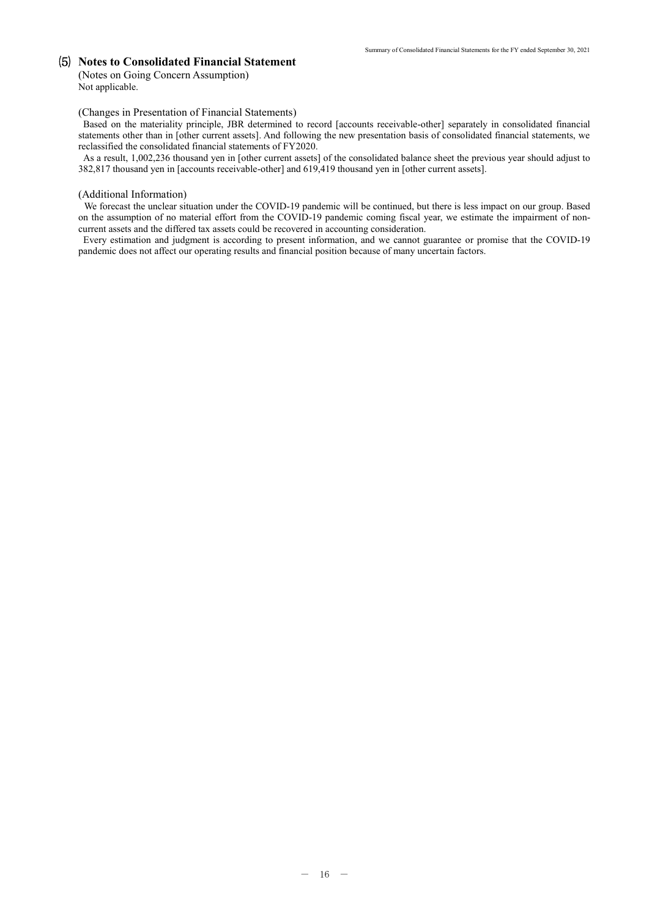## ⑸ **Notes to Consolidated Financial Statement**

(Notes on Going Concern Assumption) Not applicable.

#### (Changes in Presentation of Financial Statements)

Based on the materiality principle, JBR determined to record [accounts receivable-other] separately in consolidated financial statements other than in [other current assets]. And following the new presentation basis of consolidated financial statements, we reclassified the consolidated financial statements of FY2020.

As a result, 1,002,236 thousand yen in [other current assets] of the consolidated balance sheet the previous year should adjust to 382,817 thousand yen in [accounts receivable-other] and 619,419 thousand yen in [other current assets].

#### (Additional Information)

We forecast the unclear situation under the COVID-19 pandemic will be continued, but there is less impact on our group. Based on the assumption of no material effort from the COVID-19 pandemic coming fiscal year, we estimate the impairment of noncurrent assets and the differed tax assets could be recovered in accounting consideration.

Every estimation and judgment is according to present information, and we cannot guarantee or promise that the COVID-19 pandemic does not affect our operating results and financial position because of many uncertain factors.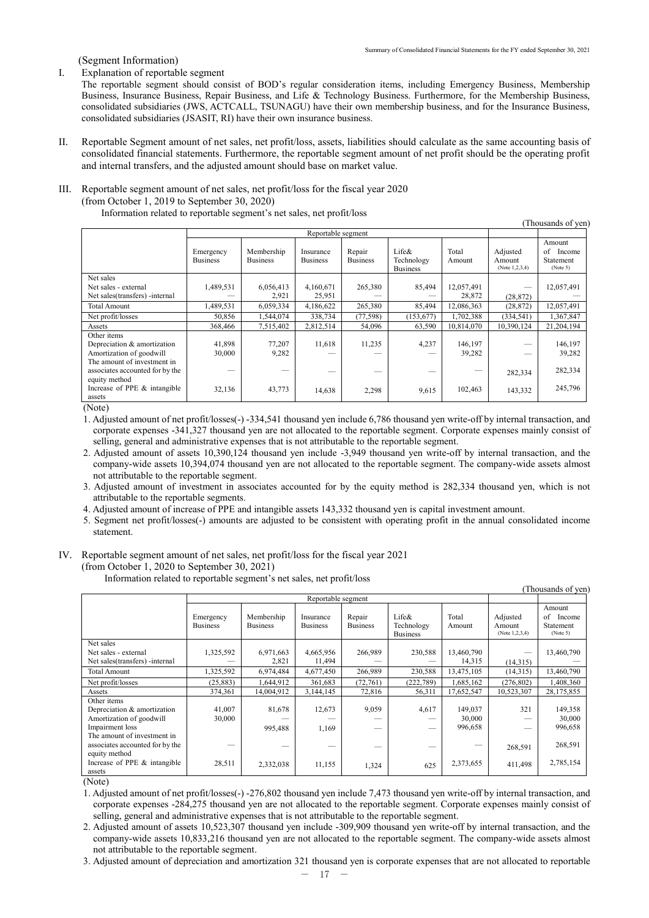(Segment Information)

#### I. Explanation of reportable segment

The reportable segment should consist of BOD's regular consideration items, including Emergency Business, Membership Business, Insurance Business, Repair Business, and Life & Technology Business. Furthermore, for the Membership Business, consolidated subsidiaries (JWS, ACTCALL, TSUNAGU) have their own membership business, and for the Insurance Business, consolidated subsidiaries (JSASIT, RI) have their own insurance business.

II. Reportable Segment amount of net sales, net profit/loss, assets, liabilities should calculate as the same accounting basis of consolidated financial statements. Furthermore, the reportable segment amount of net profit should be the operating profit and internal transfers, and the adjusted amount should base on market value.

#### III. Reportable segment amount of net sales, net profit/loss for the fiscal year 2020 (from October 1, 2019 to September 30, 2020)

Information related to reportable segment's net sales, net profit/loss

| (Thousands of yen)                                                                                    |                              |                               |                              |                           |                                        |                   |                                         |                                                 |
|-------------------------------------------------------------------------------------------------------|------------------------------|-------------------------------|------------------------------|---------------------------|----------------------------------------|-------------------|-----------------------------------------|-------------------------------------------------|
|                                                                                                       | Reportable segment           |                               |                              |                           |                                        |                   |                                         |                                                 |
|                                                                                                       | Emergency<br><b>Business</b> | Membership<br><b>Business</b> | Insurance<br><b>Business</b> | Repair<br><b>Business</b> | Life&<br>Technology<br><b>Business</b> | Total<br>Amount   | Adjusted<br>Amount<br>(Note $1,2,3,4$ ) | Amount<br>of<br>Income<br>Statement<br>(Note 5) |
| Net sales                                                                                             |                              |                               |                              |                           |                                        |                   |                                         |                                                 |
| Net sales - external                                                                                  | 1,489,531                    | 6,056,413                     | 4,160,671                    | 265,380                   | 85,494                                 | 12,057,491        |                                         | 12,057,491                                      |
| Net sales (transfers) - internal                                                                      |                              | 2,921                         | 25,951                       |                           |                                        | 28,872            | (28, 872)                               |                                                 |
| <b>Total Amount</b>                                                                                   | 1,489,531                    | 6,059,334                     | 4,186,622                    | 265,380                   | 85,494                                 | 12,086,363        | (28, 872)                               | 12,057,491                                      |
| Net profit/losses                                                                                     | 50,856                       | 1,544,074                     | 338,734                      | (77, 598)                 | (153, 677)                             | 1,702,388         | (334, 541)                              | 1,367,847                                       |
| Assets                                                                                                | 368,466                      | 7,515,402                     | 2,812,514                    | 54,096                    | 63,590                                 | 10,814,070        | 10,390,124                              | 21,204,194                                      |
| Other items<br>Depreciation & amortization<br>Amortization of goodwill<br>The amount of investment in | 41,898<br>30,000             | 77,207<br>9,282               | 11,618                       | 11,235                    | 4,237                                  | 146,197<br>39,282 |                                         | 146,197<br>39,282                               |
| associates accounted for by the<br>equity method                                                      |                              |                               |                              |                           |                                        |                   | 282,334                                 | 282,334                                         |
| Increase of PPE & intangible<br>assets<br>$\sim$ $\sim$ $\sim$                                        | 32,136                       | 43,773                        | 14,638                       | 2,298                     | 9,615                                  | 102,463           | 143,332                                 | 245,796                                         |

(Note)

1. Adjusted amount of net profit/losses(-) -334,541 thousand yen include 6,786 thousand yen write-off by internal transaction, and corporate expenses -341,327 thousand yen are not allocated to the reportable segment. Corporate expenses mainly consist of selling, general and administrative expenses that is not attributable to the reportable segment.

2. Adjusted amount of assets 10,390,124 thousand yen include -3,949 thousand yen write-off by internal transaction, and the company-wide assets 10,394,074 thousand yen are not allocated to the reportable segment. The company-wide assets almost not attributable to the reportable segment.

3. Adjusted amount of investment in associates accounted for by the equity method is 282,334 thousand yen, which is not attributable to the reportable segments.

4. Adjusted amount of increase of PPE and intangible assets 143,332 thousand yen is capital investment amount.

5. Segment net profit/losses(-) amounts are adjusted to be consistent with operating profit in the annual consolidated income statement.

# IV. Reportable segment amount of net sales, net profit/loss for the fiscal year 2021

(from October 1, 2020 to September 30, 2021)

Information related to reportable segment's net sales, net profit/loss

| (Thousands of yen)                                                                                                       |                              |                               |                              |                           |                                        |                              |                                         |                                                 |
|--------------------------------------------------------------------------------------------------------------------------|------------------------------|-------------------------------|------------------------------|---------------------------|----------------------------------------|------------------------------|-----------------------------------------|-------------------------------------------------|
|                                                                                                                          | Reportable segment           |                               |                              |                           |                                        |                              |                                         |                                                 |
|                                                                                                                          | Emergency<br><b>Business</b> | Membership<br><b>Business</b> | Insurance<br><b>Business</b> | Repair<br><b>Business</b> | Life&<br>Technology<br><b>Business</b> | Total<br>Amount              | Adjusted<br>Amount<br>(Note $1,2,3,4$ ) | Amount<br>of<br>Income<br>Statement<br>(Note 5) |
| Net sales                                                                                                                |                              |                               |                              |                           |                                        |                              |                                         |                                                 |
| Net sales - external<br>Net sales (transfers) - internal                                                                 | 1,325,592                    | 6,971,663<br>2,821            | 4,665,956<br>11,494          | 266,989                   | 230,588                                | 13,460,790<br>14,315         | (14,315)                                | 13,460,790                                      |
| <b>Total Amount</b>                                                                                                      | 1,325,592                    | 6,974,484                     | 4,677,450                    | 266,989                   | 230,588                                | 13,475,105                   | (14,315)                                | 13,460,790                                      |
| Net profit/losses                                                                                                        | (25, 883)                    | 1,644,912                     | 361,683                      | (72, 761)                 | (222, 789)                             | 1,685,162                    | (276, 802)                              | 1,408,360                                       |
| Assets                                                                                                                   | 374,361                      | 14,004,912                    | 3,144,145                    | 72,816                    | 56,311                                 | 17,652,547                   | 10,523,307                              | 28,175,855                                      |
| Other items<br>Depreciation & amortization<br>Amortization of goodwill<br>Impairment loss<br>The amount of investment in | 41,007<br>30,000             | 81,678<br>995,488             | 12,673<br>1,169              | 9,059                     | 4,617                                  | 149,037<br>30,000<br>996,658 | 321                                     | 149,358<br>30,000<br>996,658                    |
| associates accounted for by the<br>equity method                                                                         |                              |                               |                              |                           |                                        |                              | 268,591                                 | 268,591                                         |
| Increase of PPE & intangible<br>assets                                                                                   | 28,511                       | 2,332,038                     | 11,155                       | 1,324                     | 625                                    | 2,373,655                    | 411,498                                 | 2,785,154                                       |

(Note)

1. Adjusted amount of net profit/losses(-) -276,802 thousand yen include 7,473 thousand yen write-off by internal transaction, and corporate expenses -284,275 thousand yen are not allocated to the reportable segment. Corporate expenses mainly consist of selling, general and administrative expenses that is not attributable to the reportable segment.

2. Adjusted amount of assets 10,523,307 thousand yen include -309,909 thousand yen write-off by internal transaction, and the company-wide assets 10,833,216 thousand yen are not allocated to the reportable segment. The company-wide assets almost not attributable to the reportable segment.

3. Adjusted amount of depreciation and amortization 321 thousand yen is corporate expenses that are not allocated to reportable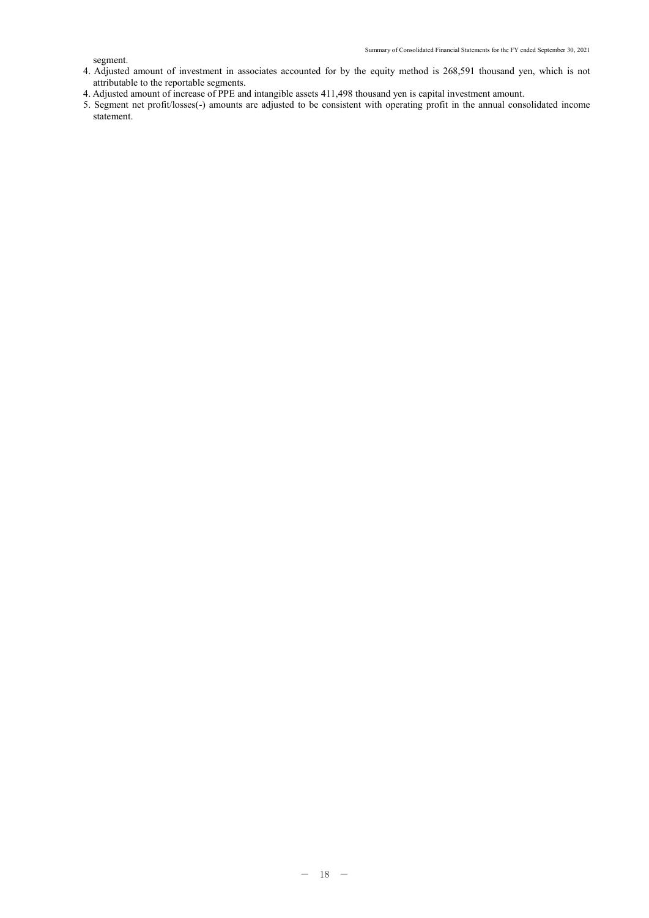segment.

- 4. Adjusted amount of investment in associates accounted for by the equity method is 268,591 thousand yen, which is not attributable to the reportable segments.
- 4. Adjusted amount of increase of PPE and intangible assets 411,498 thousand yen is capital investment amount.
- 5. Segment net profit/losses(-) amounts are adjusted to be consistent with operating profit in the annual consolidated income statement.